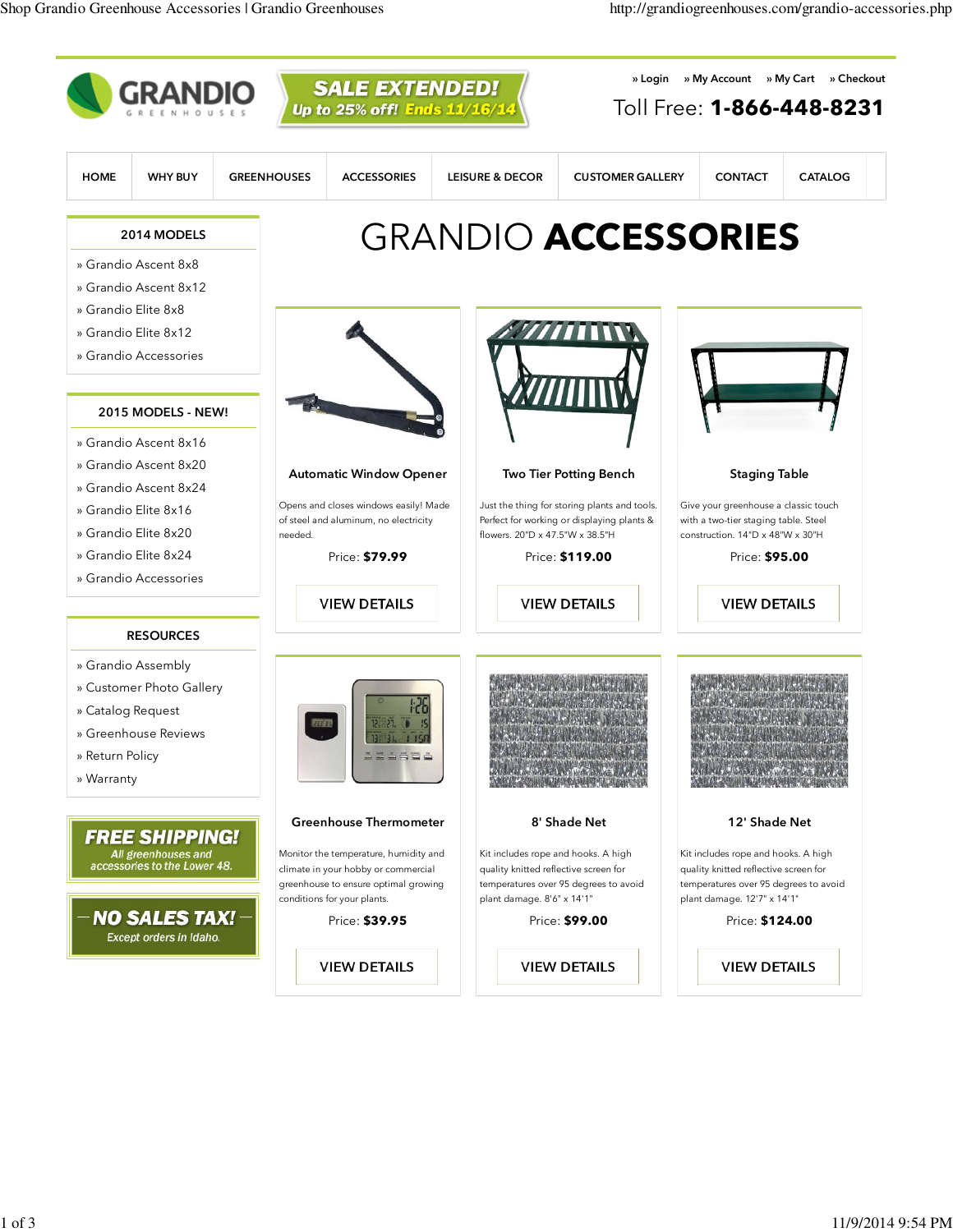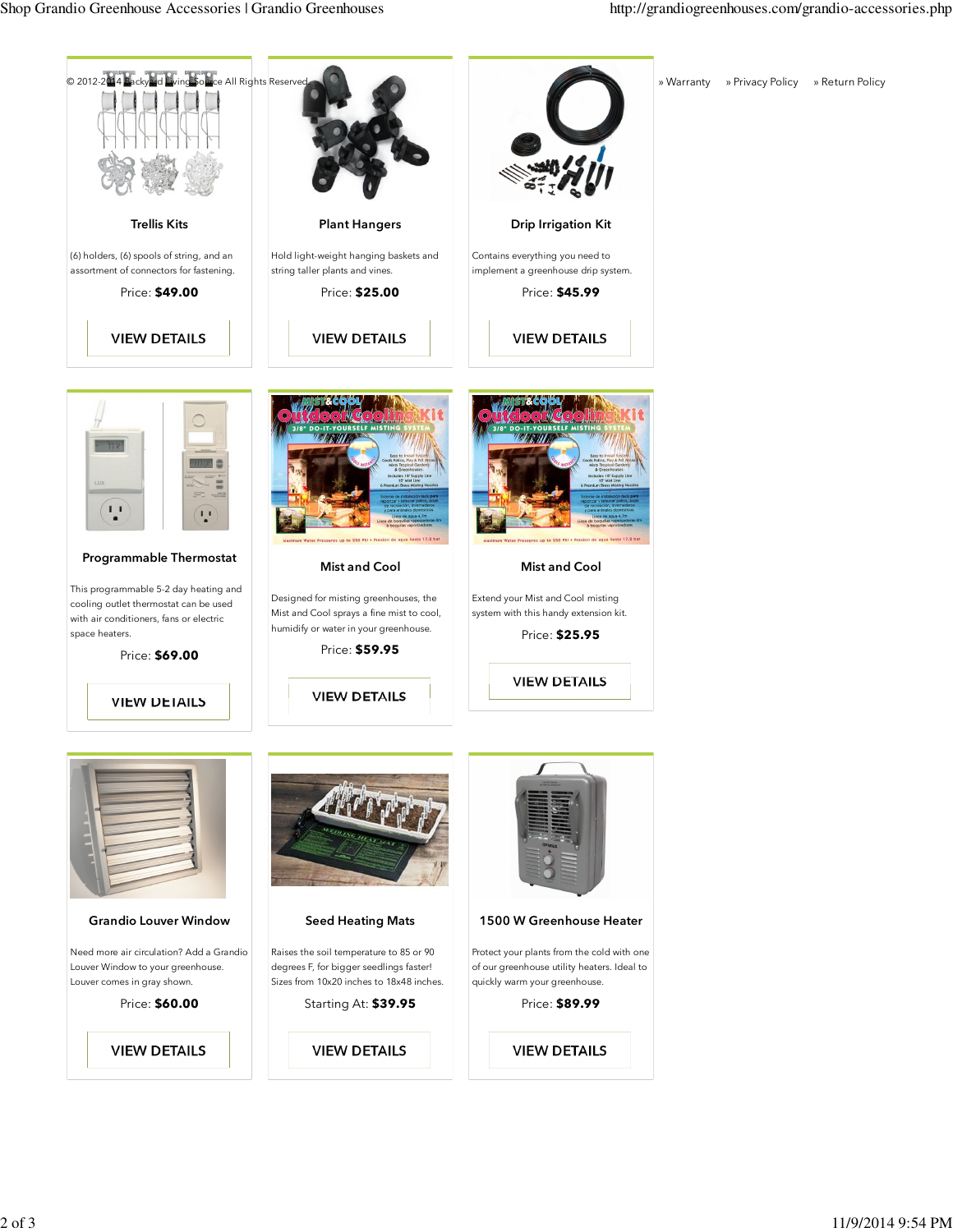